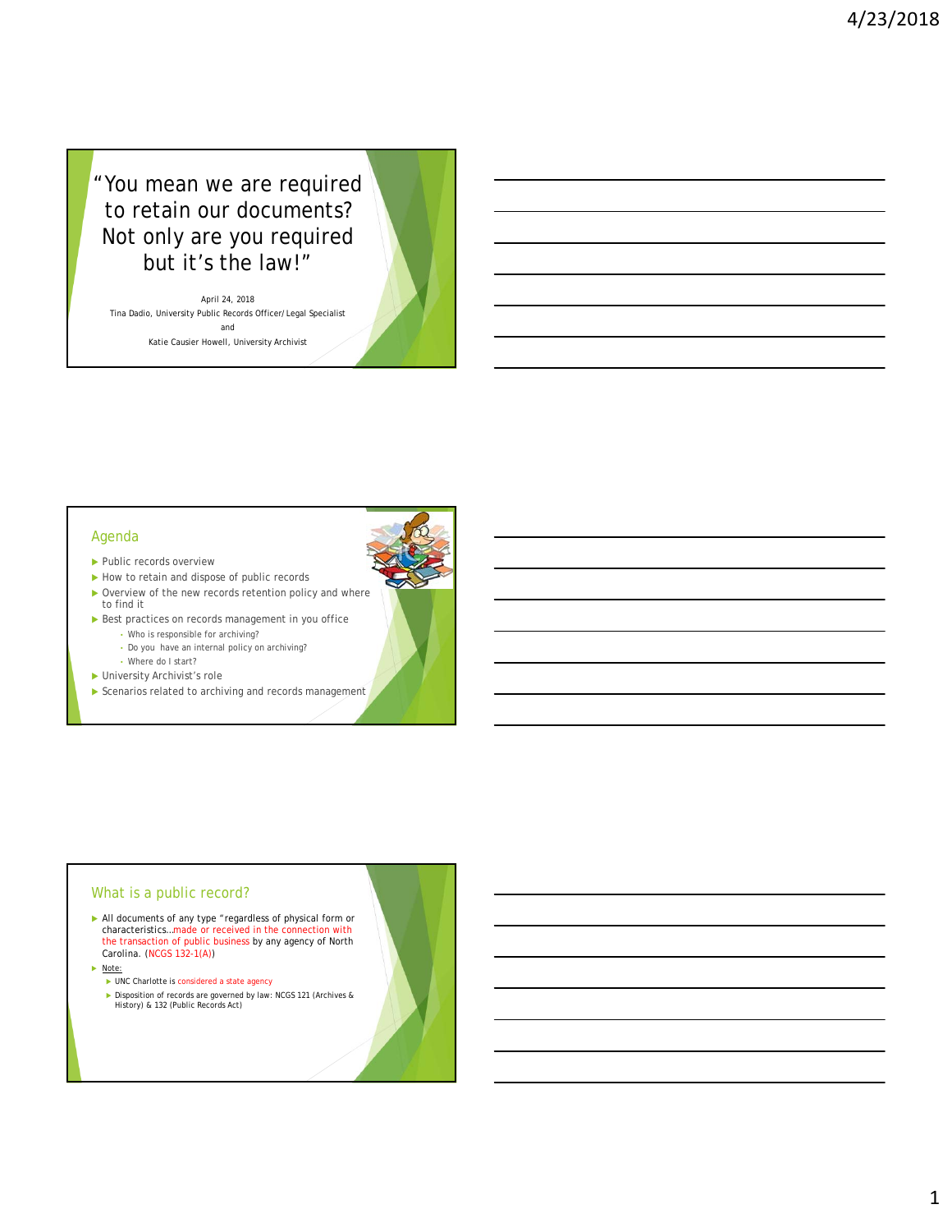# "You mean we are required to retain our documents? Not only are you required but it's the law!"

April 24, 2018 Tina Dadio, University Public Records Officer/Legal Specialist and Katie Causier Howell, University Archivist

#### Agenda

- ▶ Public records overview
- How to retain and dispose of public records
- ▶ Overview of the new records retention policy and where to find it
- Best practices on records management in you office
	- Who is responsible for archiving?
	- Do you have an internal policy on archiving?
	- Where do I start?
- University Archivist's role
- Scenarios related to archiving and records management

### What is a public record?

- All documents of any type "regardless of physical form or characteristics…made or received in the connection with the transaction of public business by any agency of North Carolina. (NCGS 132-1(A))
- Note:
	- ▶ UNC Charlotte is considered a state agency
	- ▶ Disposition of records are governed by law: NCGS 121 (Archives & History) & 132 (Public Records Act)

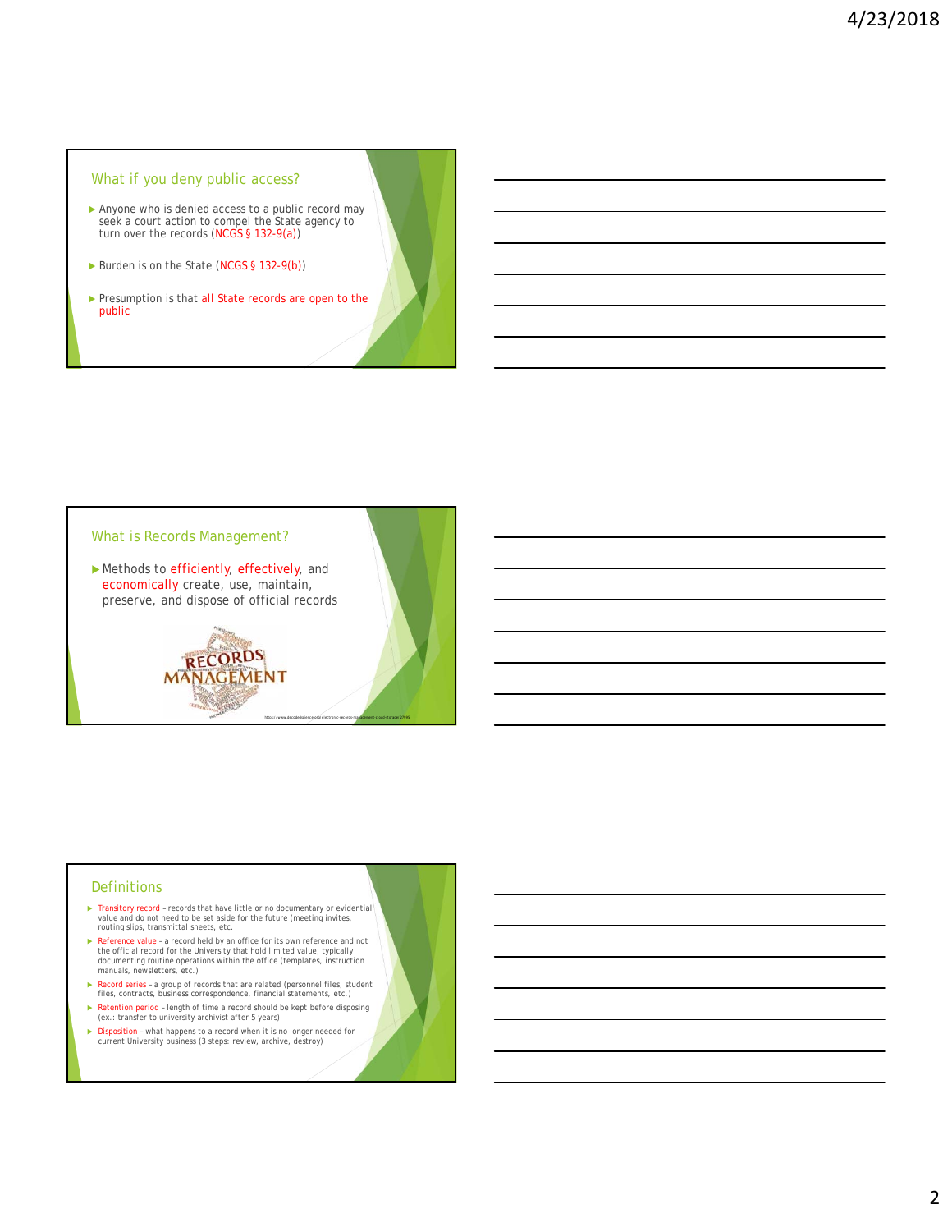# What if you deny public access?

- Anyone who is denied access to a public record may seek a court action to compel the State agency to turn over the records (NCGS § 132-9(a))
- Burden is on the State (NCGS § 132-9(b))
- Presumption is that all State records are open to the public



#### **Definitions**

- ▶ Transitory record records that have little or no documentary or evidential value and do not need to be set aside for the future (meeting invites, routing slips, transmittal sheets, etc.
- Reference value a record held by an office for its own reference and not the official record for the University that hold limited value, typically documenting routine operations within the office (templates, instruction manuals, newsletters, etc.)
- Record series a group of records that are related (personnel files, student files, contracts, business correspondence, financial statements, etc.)
- ▶ Retention period length of time a record should be kept before disposing (ex.: transfer to university archivist after 5 years)
- ▶ Disposition what happens to a record when it is no longer needed for current University business (3 steps: review, archive, destroy)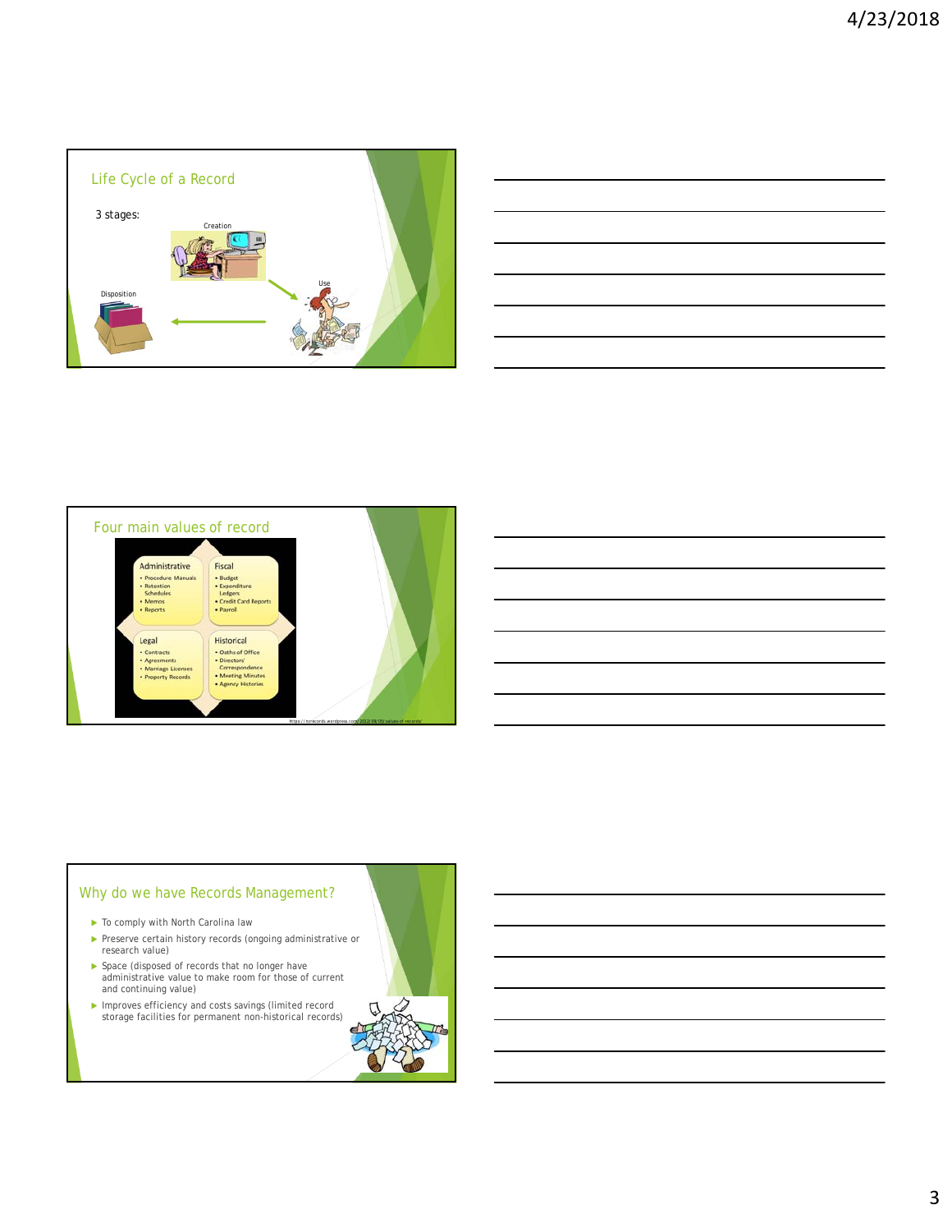

| <u>  El seu de la característica de la característica de la característica de la característica de la característi</u> |  |  |
|------------------------------------------------------------------------------------------------------------------------|--|--|
|                                                                                                                        |  |  |
|                                                                                                                        |  |  |
|                                                                                                                        |  |  |



# Why do we have Records Management?

- $\blacktriangleright$  To comply with North Carolina law
- Preserve certain history records (ongoing administrative or research value)
- Space (disposed of records that no longer have administrative value to make room for those of current and continuing value)
- Improves efficiency and costs savings (limited record storage facilities for permanent non-historical records)

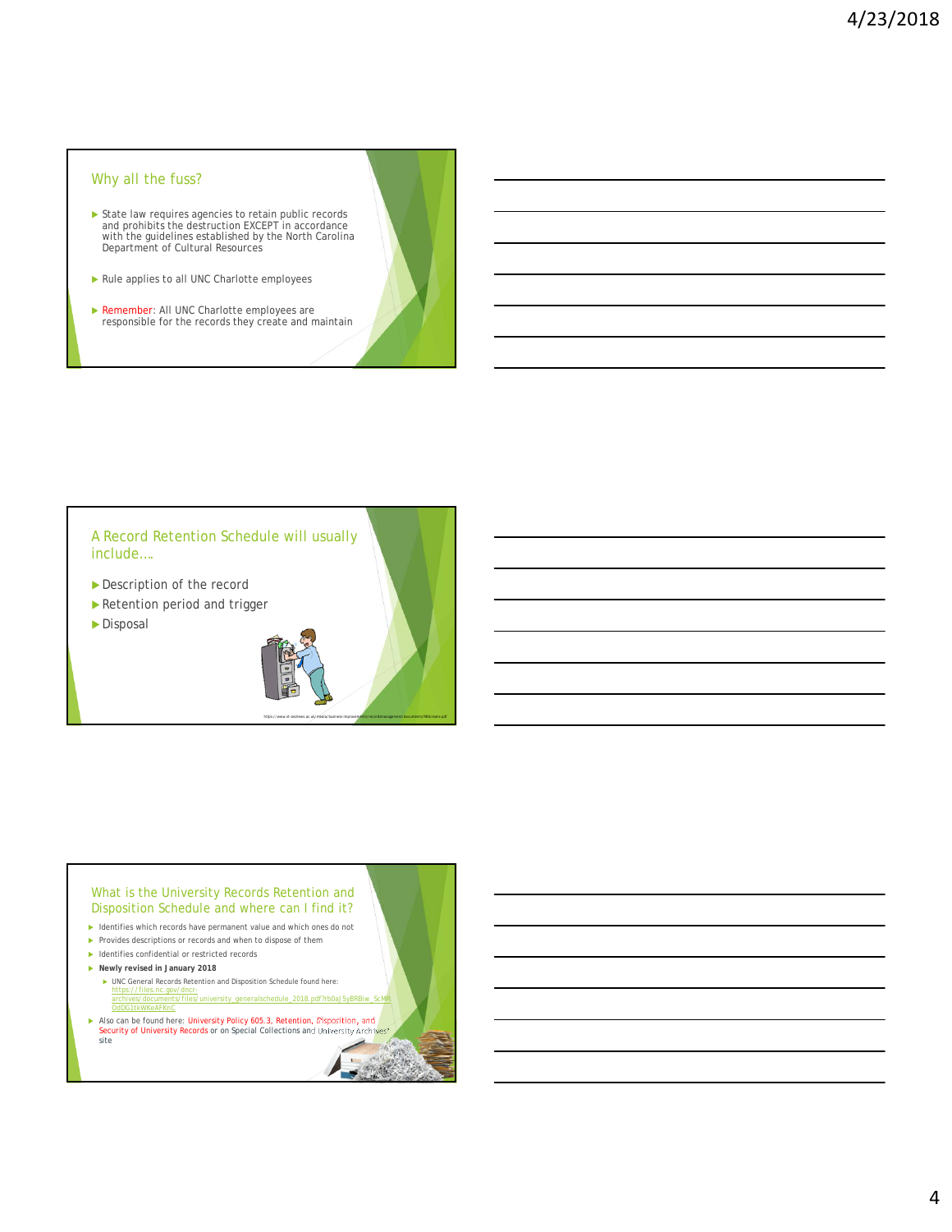# Why all the fuss?

- State law requires agencies to retain public records and prohibits the destruction EXCEPT in accordance with the guidelines established by the North Carolina Department of Cultural Resources
- Rule applies to all UNC Charlotte employees
- **EXEMBREE:** All UNC Charlotte employees are responsible for the records they create and maintain

A Record Retention Schedule will usually include….

- Description of the record
- Retention period and trigger
- Disposal



https://www.st-andrews.ac.uk/media/business-improvements/recordsmanagement/documents/RRScreate.pdf

#### What is the University Records Retention and Disposition Schedule and where can I find it?

- Identifies which records have permanent value and which ones do not
- Provides descriptions or records and when to dispose of them
- ▶ Identifies confidential or restricted records
- **Newly revised in January 2018** 
	- UNC General Records Retention and Disposition Schedule found here: https://files.nc.gov/dncrarts/files/university\_generalschedule\_2018.pdf?rb0aJ5yBRBiw OdDG1tkWKeAFKnC

Also can be found here: University Policy 605.3, Retention, Disposition, and Security of University Records or on Special Collections and University Archives'<br>Sete site site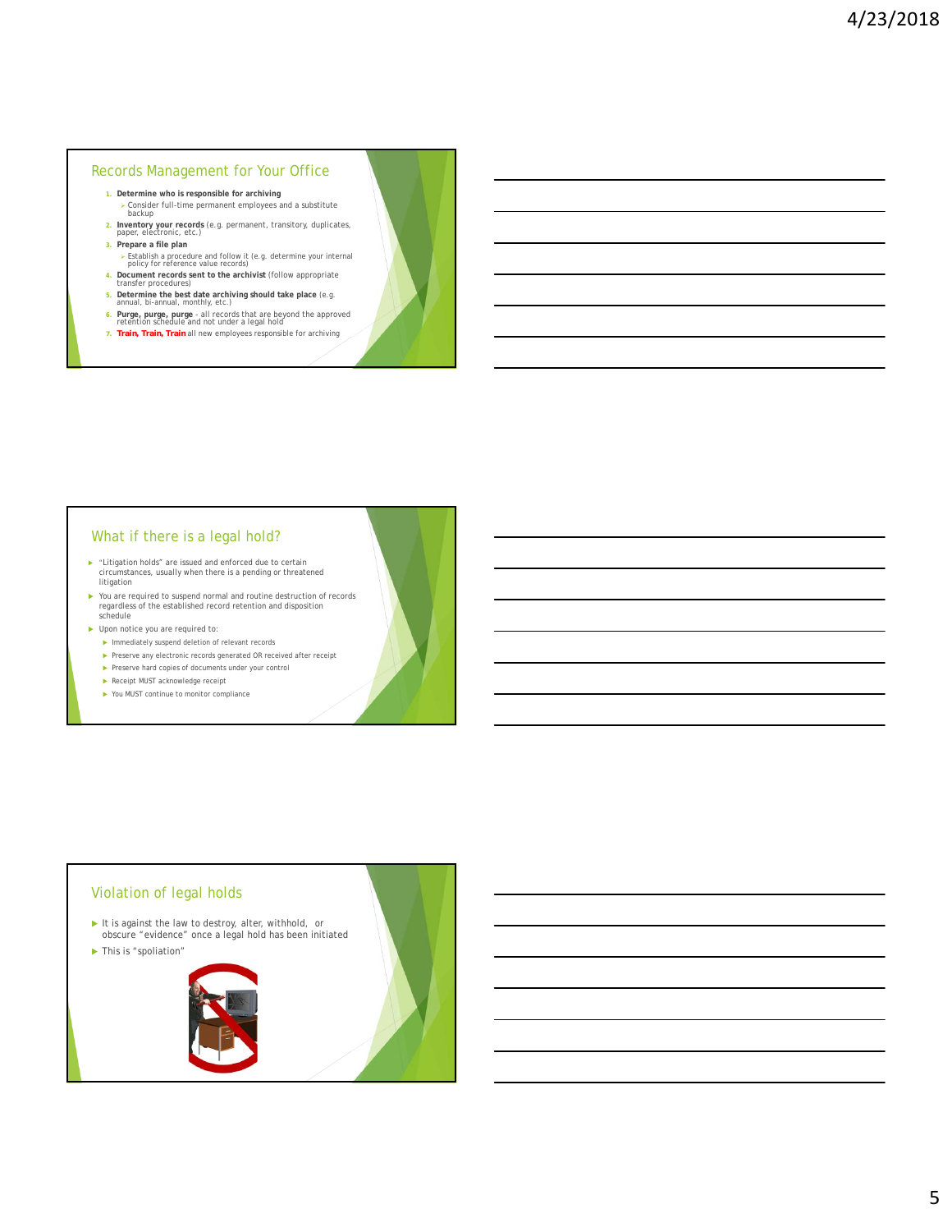#### Records Management for Your Office

- **1. Determine who is responsible for archiving**
- Consider full-time permanent employees and a substitute backup **2. Inventory your records** (e.g. permanent, transitory, duplicates, paper, electronic, etc.)
- **3. Prepare a file plan**
	- Establish a procedure and follow it (e.g. determine your internal policy for reference value records)
- **4. Document records sent to the archivist** (follow appropriate transfer procedures)
- 
- **5. Determine the best date archiving should take place** (e.g. annual, bi-annual, monthly, etc.)
- **6. Purge, purge, purge**  all records that are beyond the approved retention schedule and not under a legal hold
- *7. Train, Train, Train* all new employees responsible for archiving

#### What if there is a legal hold?

- ► "Litigation holds" are issued and enforced due to certain<br>circumstances, usually when there is a pending or threatened **litigation**
- ▶ You are required to suspend normal and routine destruction of records<br>regardless of the established record retention and disposition<br>schedule
- ▶ Upon notice you are required to:
	- **Immediately suspend deletion of relevant records**
	- $\blacktriangleright$  Preserve any electronic records generated OR received after receipt
	- $\blacktriangleright$  Preserve hard copies of documents under your control
	- Receipt MUST acknowledge receipt
	- ▶ You MUST continue to monitor compliance

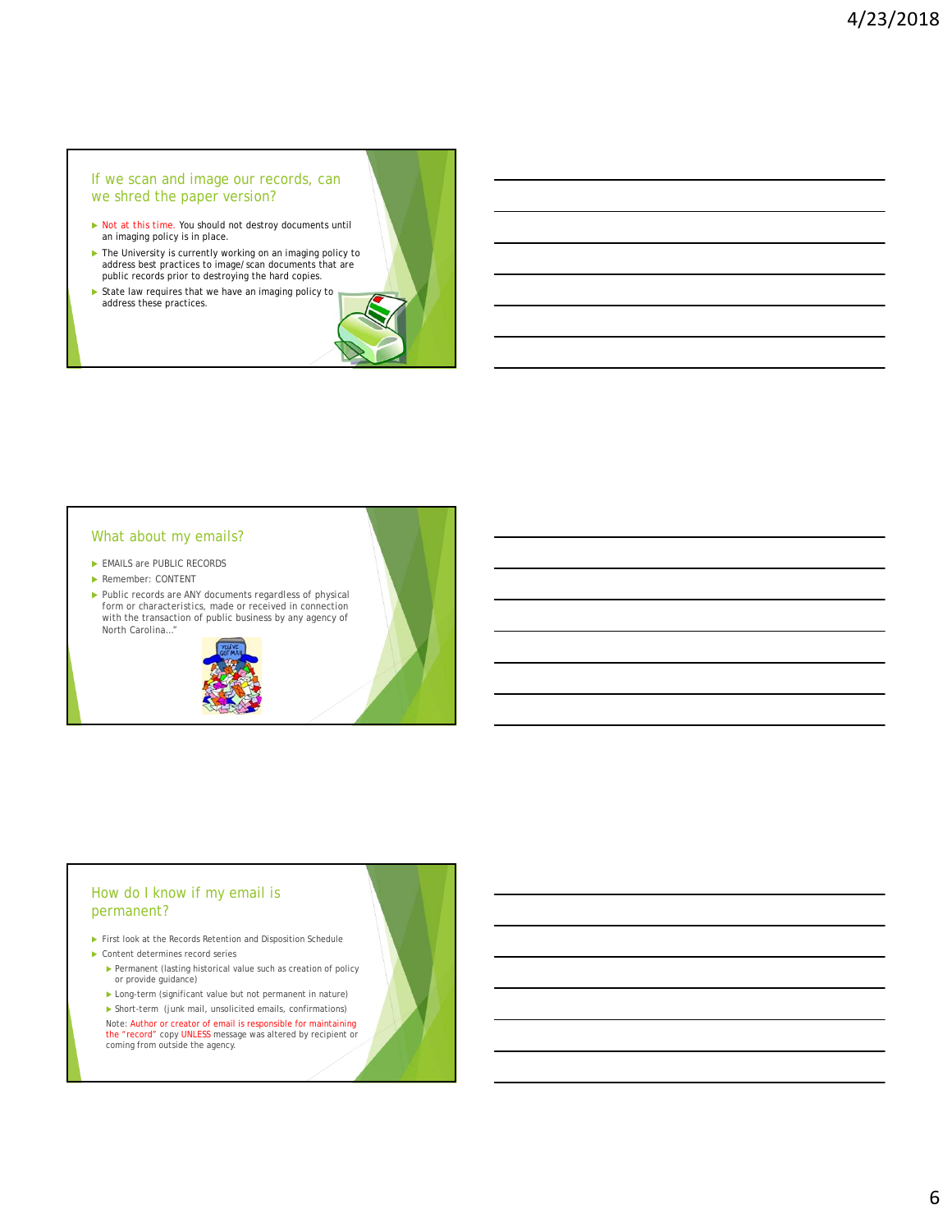#### If we scan and image our records, can we shred the paper version?

- *Not at this time.* You should not destroy documents until an imaging policy is in place.
- ▶ The University is currently working on an imaging policy to address best practices to image/scan documents that are public records prior to destroying the hard copies.
- State law requires that we have an imaging policy to address these practices.

#### What about my emails?

- EMAILS are PUBLIC RECORDS
- Remember: CONTENT
- Public records are ANY documents *regardless of physical form or characteristics,* made or received in connection with the transaction of public business by any agency of North Carolina…"



# How do I know if my email is permanent?

- First look at the Records Retention and Disposition Schedule
- Content determines record series
	- $\blacktriangleright$  Permanent (lasting historical value such as creation of policy or provide guidance)
	- Long-term (significant value but not permanent in nature)
	- Short-term (junk mail, unsolicited emails, confirmations)

Note: Author or creator of email is responsible for maintaining the "record" copy UNLESS message was altered by recipient or coming from outside the agency.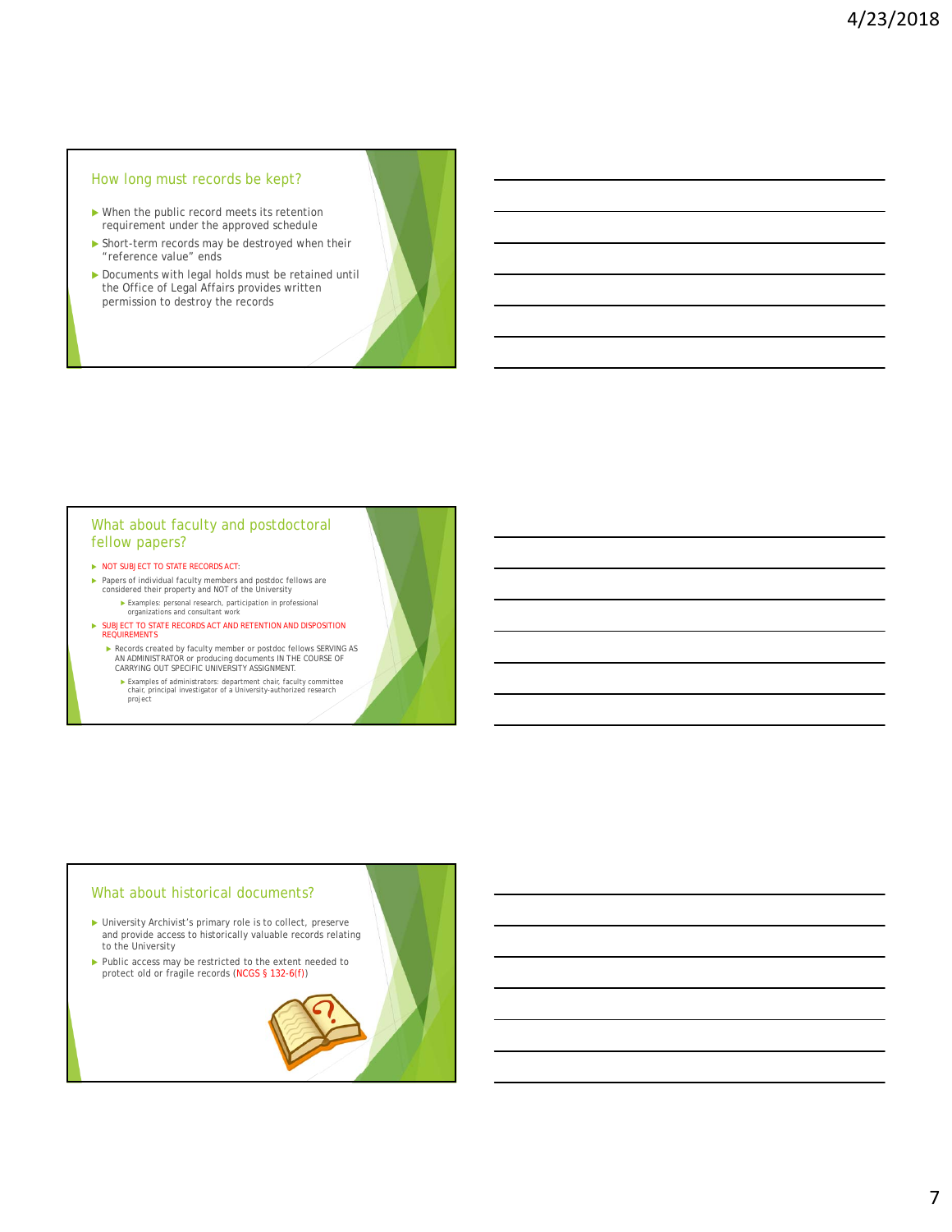# How long must records be kept?

- When the public record meets its retention requirement under the approved schedule
- Short-term records may be destroyed when their "reference value" ends
- Documents with legal holds must be retained until the Office of Legal Affairs provides written permission to destroy the records

#### What about faculty and postdoctoral fellow papers?

- $\triangleright$  NOT SUBJECT TO STATE RECORDS ACT:
- Papers of individual faculty members and postdoc fellows are considered their property and NOT of the University Examples: personal research, participation in professional organizations and consultant work
- $\blacktriangleright$  SUBJECT TO STATE RECORDS ACT AND RETENTION AND DISPOSITION REQUIREMENTS
	- Records created by faculty member or postdoc fellows SERVING AS AN ADMINISTRATOR or producing documents IN THE COURSE OF CARRYING OUT SPECIFIC UNIVERSITY ASSIGNMENT.
		- Examples of administrators: department chair, faculty committee chair, principal investigator of a University-authorized research project

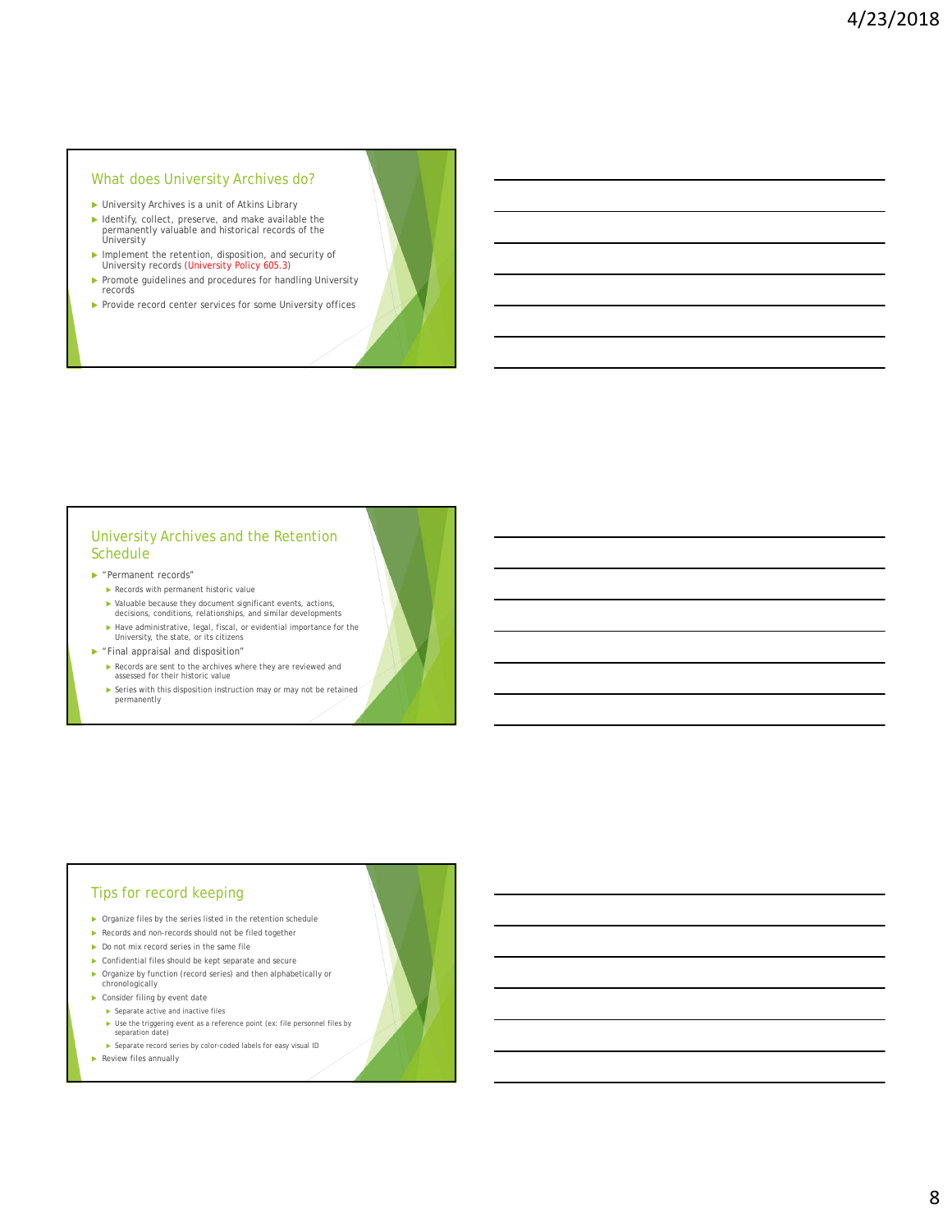### What does University Archives do?

- University Archives is a unit of Atkins Library
- Identify, collect, preserve, and make available the permanently valuable and historical records of the University
- Implement the retention, disposition, and security of University records (University Policy 605.3)
- Promote guidelines and procedures for handling University records
- Provide record center services for some University offices

# University Archives and the Retention Schedule

- "Permanent records"
	- Records with permanent historic value
	- Valuable because they document significant events, actions, decisions, conditions, relationships, and similar developments
	- Have administrative, legal, fiscal, or evidential importance for the University, the state, or its citizens
- "Final appraisal and disposition"
	- Records are sent to the archives where they are reviewed and
	- assessed for their historic value
	- $\blacktriangleright$  Series with this disposition instruction may or may not be retained permanently

#### Tips for record keeping

- Organize files by the series listed in the retention schedule
- Records and non-records should not be filed together
- Do not mix record series in the same file
- Confidential files should be kept separate and secure
- Organize by function (record series) and then alphabetically or
- chronologically
- ▶ Consider filing by event date
	- $\blacktriangleright$  Separate active and inactive files
	- Use the triggering event as a reference point (ex: file personnel files by separation date)
	- Separate record series by color-coded labels for easy visual ID
- Review files annually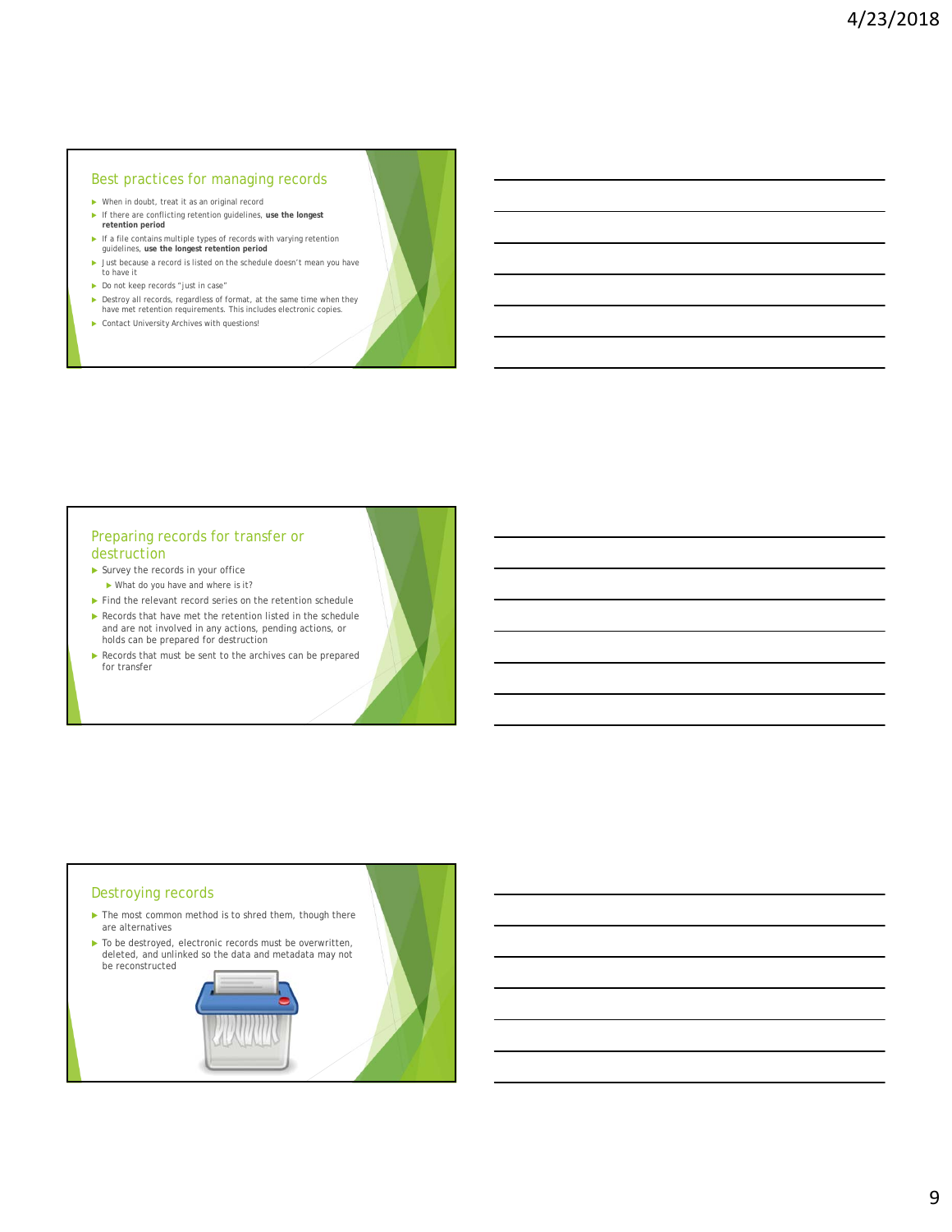#### Best practices for managing records

- When in doubt, treat it as an original record If there are conflicting retention guidelines, **use the longest retention period**
- If a file contains multiple types of records with varying retention guidelines, **use the longest retention period**
- In Just because a record is listed on the schedule doesn't mean you have to have it
- $\blacktriangleright$  Do not keep records "just in case"
- Destroy all records, regardless of format, at the same time when they have met retention requirements. This includes electronic copies.
- $\blacktriangleright$  Contact University Archives with questions!

# Preparing records for transfer or destruction

- Survey the records in your office What do you have and where is it?
- $\blacktriangleright$  Find the relevant record series on the retention schedule
- Records that have met the retention listed in the schedule and are not involved in any actions, pending actions, or holds can be prepared for destruction
- Records that must be sent to the archives can be prepared for transfer

### Destroying records

- ▶ The most common method is to shred them, though there are alternatives
- To be destroyed, electronic records must be overwritten, deleted, and unlinked so the data and metadata may not be reconstructed

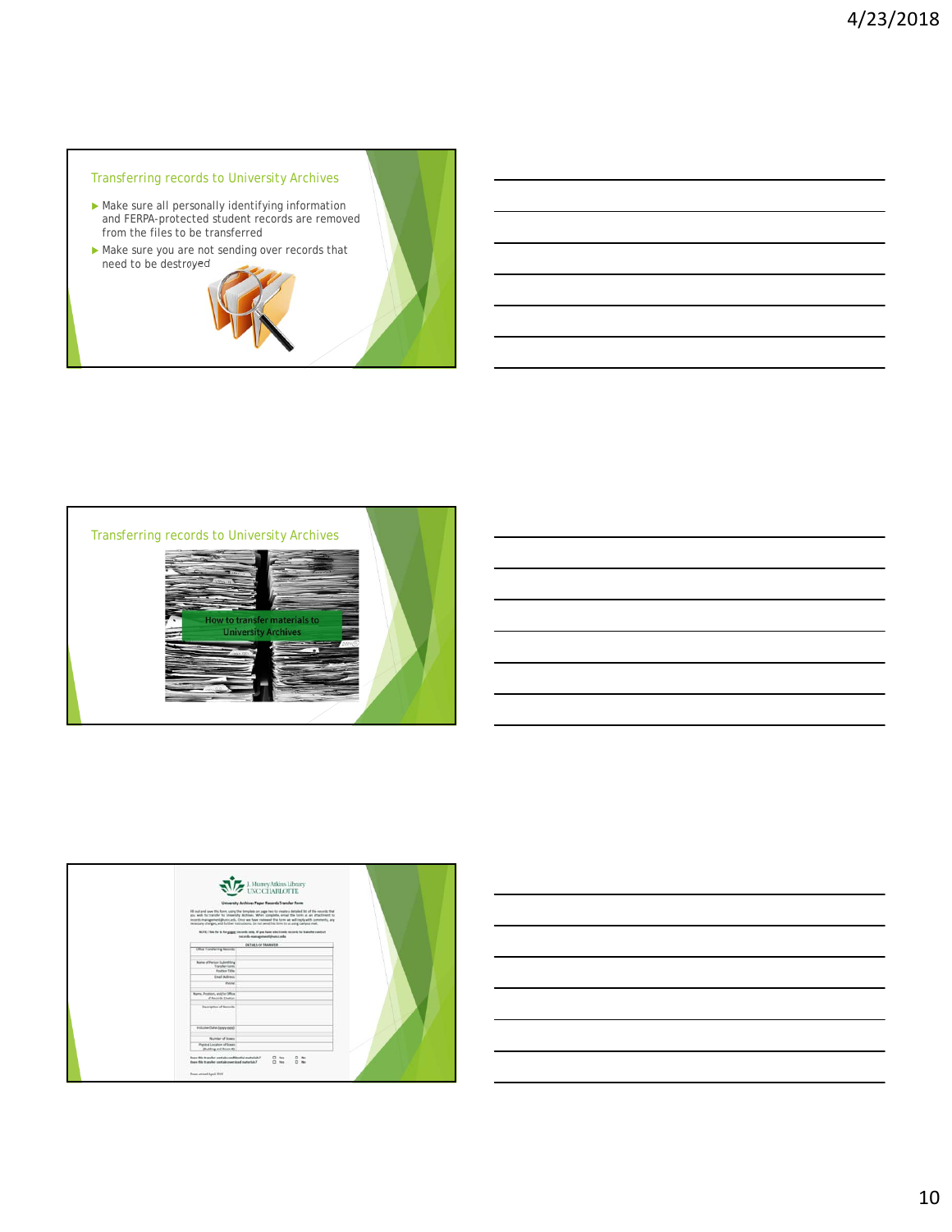# Transferring records to University Archives

- Make sure all personally identifying information and FERPA-protected student records are removed from the files to be transferred
- Make sure you are not sending over records that need to be destroyed





|                                                                                                               | J. Murrey Atkins Library<br>UNC CHARLOTTE<br>University Archives Paper Records Transfer Favre<br>Hill out and save this form, using the template on page has to create a detailed but of the records that                                                                                     |  |
|---------------------------------------------------------------------------------------------------------------|-----------------------------------------------------------------------------------------------------------------------------------------------------------------------------------------------------------------------------------------------------------------------------------------------|--|
|                                                                                                               | you wish he transfer to Unsersity Archives, When somplete, email the form as an attachment to<br>records inangement@unccads. Once we have realiseed the form we will right with comments, any<br>nerecasing changes, and further inimizations. Its net send this firm to us using campus mad. |  |
|                                                                                                               | NOTE: This for is for gagger records only. If gos have electronic records to transfer contact<br>records-managementalnance.odu                                                                                                                                                                |  |
| OUTREVOR TRANSFER<br>Office Transferring Records                                                              |                                                                                                                                                                                                                                                                                               |  |
|                                                                                                               |                                                                                                                                                                                                                                                                                               |  |
| <b>Nate of Ferien Islanding</b><br><b>Transfer Form:</b><br><b>Assistant Table</b>                            |                                                                                                                                                                                                                                                                                               |  |
| Email Address.                                                                                                |                                                                                                                                                                                                                                                                                               |  |
| <b>Phone</b>                                                                                                  |                                                                                                                                                                                                                                                                                               |  |
| Name, Pontiaco, analyla Office.<br>of Bancols Dealer                                                          |                                                                                                                                                                                                                                                                                               |  |
| Description of Amonto                                                                                         |                                                                                                                                                                                                                                                                                               |  |
| trolumn three bony yord.                                                                                      |                                                                                                                                                                                                                                                                                               |  |
| <b>Number of Brass:</b>                                                                                       |                                                                                                                                                                                                                                                                                               |  |
| Physical Location of Boars<br>(Building and Boons 8)                                                          |                                                                                                                                                                                                                                                                                               |  |
| Does this transfer contain confidential materials?<br>Francisco basic reaction contains a stores with and the | D to: D to:<br>1.94<br>$\square$ No.                                                                                                                                                                                                                                                          |  |
| Pean artisti April 2015                                                                                       |                                                                                                                                                                                                                                                                                               |  |

10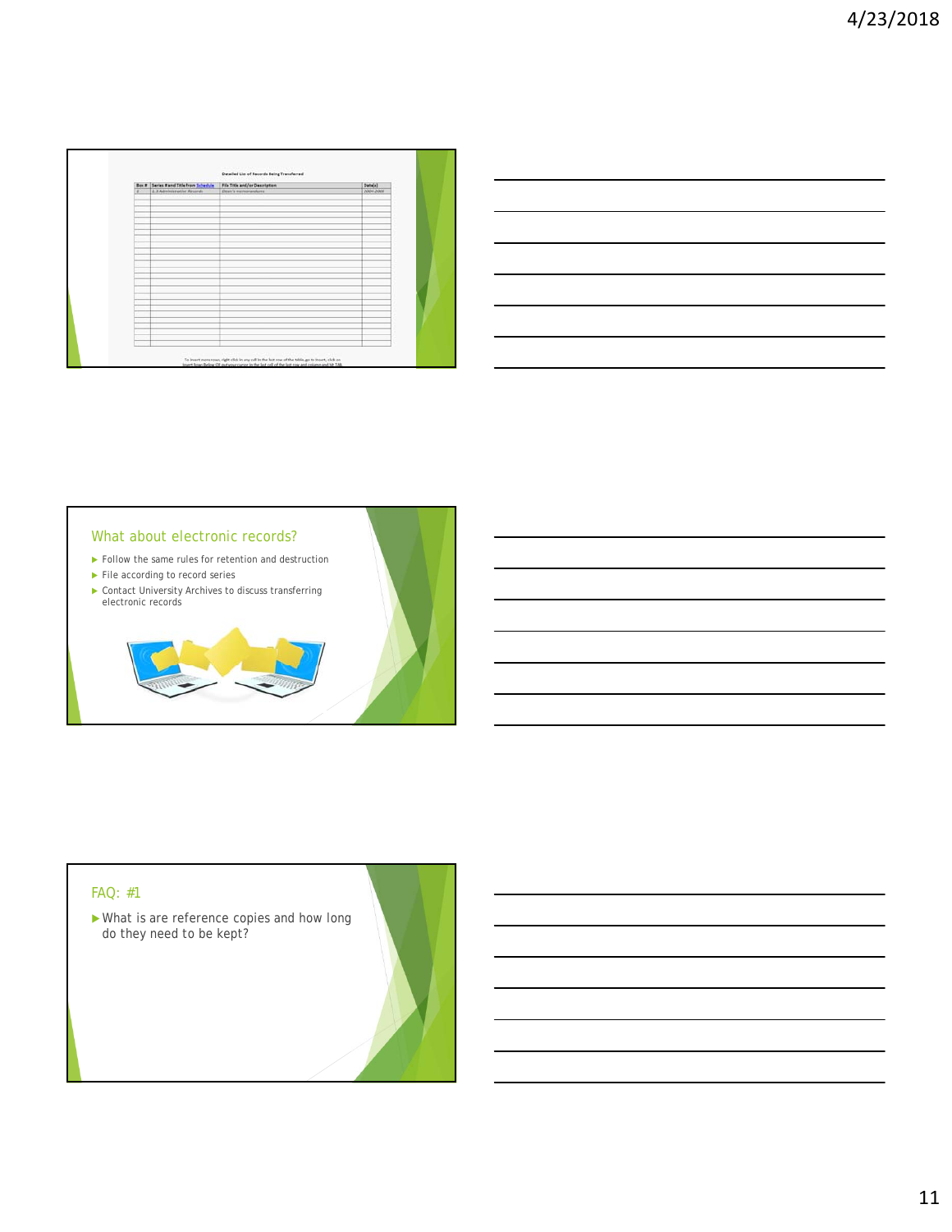| Box # Series # and Title from Schedule | File Title and/or Description | Date[s]   |
|----------------------------------------|-------------------------------|-----------|
| 1.2 Administrative Records             | Dean's merinarandums          | 2004-2006 |
|                                        |                               |           |
|                                        |                               |           |
|                                        |                               |           |
|                                        |                               |           |
|                                        |                               |           |
|                                        |                               |           |
|                                        |                               |           |
|                                        |                               |           |
|                                        |                               |           |
|                                        |                               |           |
|                                        |                               |           |
|                                        |                               |           |
|                                        |                               |           |
|                                        |                               |           |
|                                        |                               |           |
|                                        |                               |           |
|                                        |                               |           |
|                                        |                               |           |
|                                        |                               |           |
|                                        |                               |           |
|                                        |                               |           |
|                                        |                               |           |
|                                        |                               |           |
|                                        |                               |           |

| <u> 1989 - Johann Stoff, amerikansk politiker (d. 1989)</u>                                                           |  |  |
|-----------------------------------------------------------------------------------------------------------------------|--|--|
| <u> 1989 - Johann Harry Harry Harry Harry Harry Harry Harry Harry Harry Harry Harry Harry Harry Harry Harry Harry</u> |  |  |
|                                                                                                                       |  |  |
| <u> 1989 - Johann Stoff, amerikansk politiker (d. 1989)</u>                                                           |  |  |
|                                                                                                                       |  |  |
| <u> 1989 - Andrea Santa Andrea Andrea Andrea Andrea Andrea Andrea Andrea Andrea Andrea Andrea Andrea Andrea Andr</u>  |  |  |
|                                                                                                                       |  |  |



# FAQ: #1

 What is are reference copies and how long do they need to be kept?